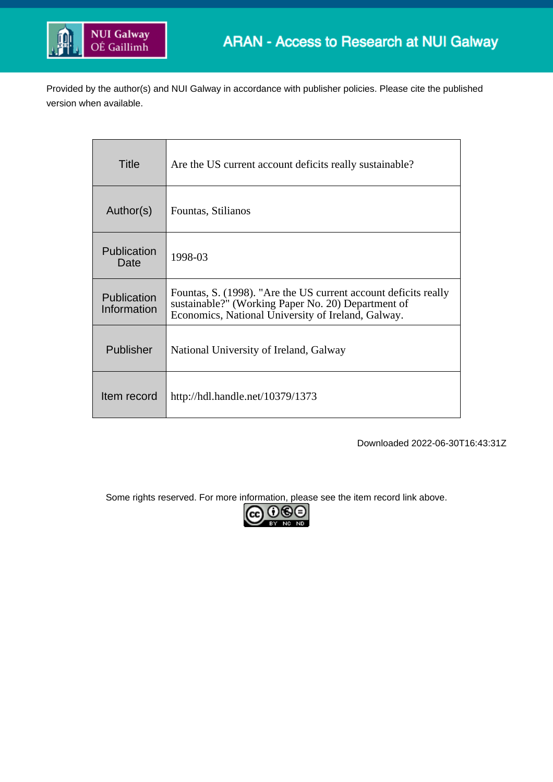

Provided by the author(s) and NUI Galway in accordance with publisher policies. Please cite the published version when available.

| Title                      | Are the US current account deficits really sustainable?                                                                                                                     |
|----------------------------|-----------------------------------------------------------------------------------------------------------------------------------------------------------------------------|
| Author(s)                  | Fountas, Stilianos                                                                                                                                                          |
| Publication<br>Date        | 1998-03                                                                                                                                                                     |
| Publication<br>Information | Fountas, S. (1998). "Are the US current account deficits really<br>sustainable?" (Working Paper No. 20) Department of<br>Economics, National University of Ireland, Galway. |
| Publisher                  | National University of Ireland, Galway                                                                                                                                      |
| Item record                | http://hdl.handle.net/10379/1373                                                                                                                                            |

Downloaded 2022-06-30T16:43:31Z

Some rights reserved. For more information, please see the item record link above.

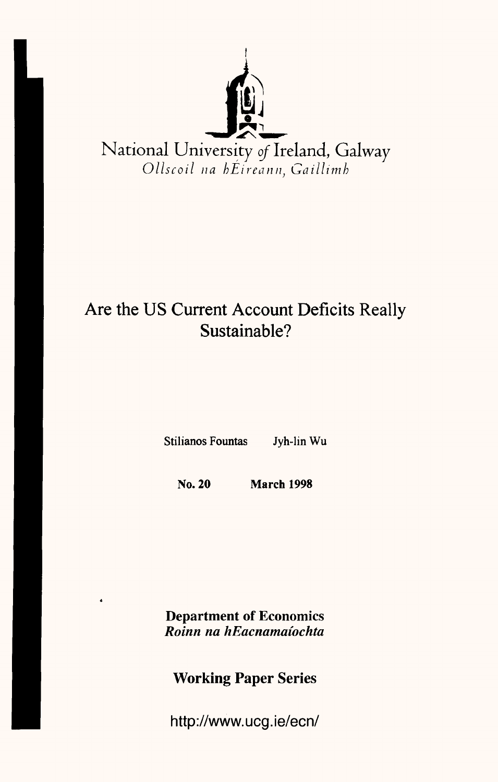

# Are the US Current Account Deficits Really Sustainable?

Stilianos Fountas Jyh-lin Wu

No. **20 March 1998**

**Department** of Economics *Roinn na hEacnamaiochta*

**Working Paper Series**

http://www.ucg.ie/ecn/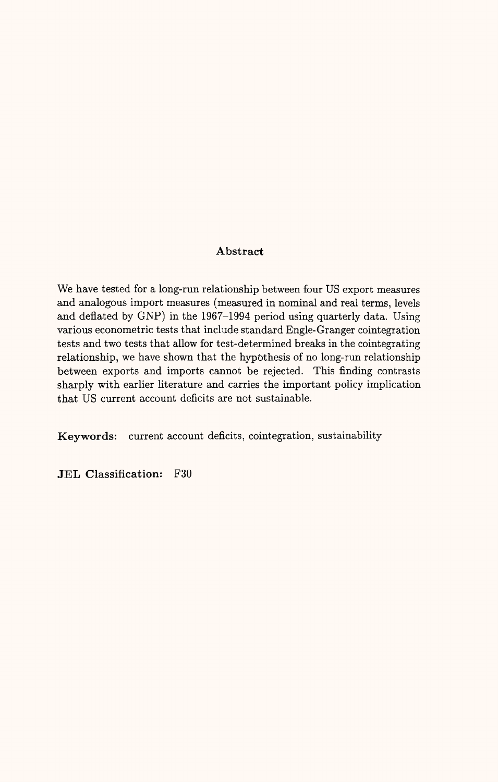#### **Abstract**

We have tested for a long-run relationship between four US export measures and analogous import measures (measured in nominal and real terms, levels and deflated by GNP) in the 1967-1994 period using quarterly data. Using various econometric tests that include standard Engle-Granger cointegration tests and two tests that allow for test-determined breaks in the cointegrating relationship, we have shown that the hypothesis of no long-run relationship between exports and imports cannot be rejected. This finding contrasts sharply with earlier literature and carries the important policy implication that US current account deficits are not sustainable.

**Keywords:** current account deficits, cointegration, sustainability

**JEL Classification:** F30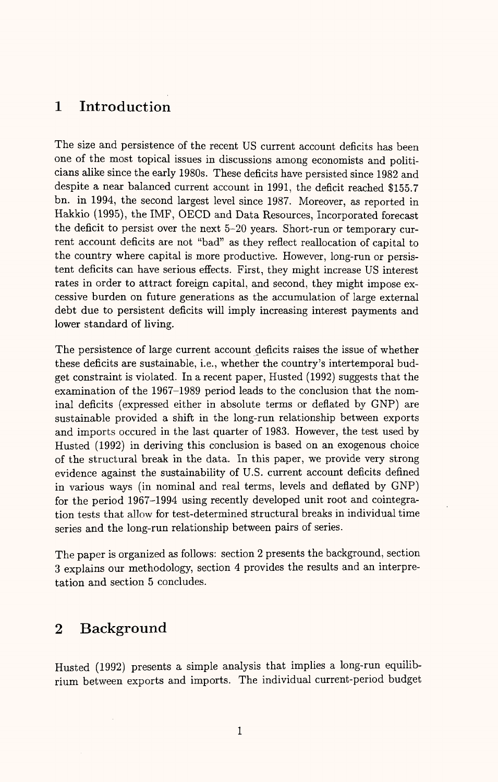# **1 Introduction**

The size and persistence of the recent US current account deficits has been one of the most topical issues in discussions among economists and politicians alike since the early 1980s. These deficits have persisted since 1982 and despite a near balanced current account in 1991, the deficit reached \$155.7 bn. in 1994, the second largest level since 1987. Moreover, as reported in Hakkio (1995), the IMF, OECD and Data Resources, Incorporated forecast the deficit to persist over the next 5-20 years. Short-run or temporary current account deficits are not "bad" as they reflect reallocation of capital to the country where capital is more productive. However, long-run or persistent deficits can have serious effects. First, they might increase US interest rates in order to attract foreign capital, and second, they might impose excessive burden on future generations as the accumulation of large external debt due to persistent deficits will imply increasing interest payments and lower standard of living.

The persistence of large current account deficits raises the issue of whether these deficits are sustainable, i.e., whether the country's intertemporal budget constraint is violated. In a recent paper, Husted (1992) suggests that the examination of the 1967-1989 period leads to the conclusion that the nominal deficits (expressed either in absolute terms or deflated by GNP) are sustainable provided a shift in the long-run relationship between exports and imports occured in the last quarter of 1983. However, the test used by Husted (1992) in deriving this conclusion is based on an exogenous choice of the structural break in the data. In this paper, we provide very strong evidence against the sustainability of U.S. current account deficits defined in various ways (in nominal and real terms, levels and deflated by GNP) for the period 1967-1994 using recently developed unit root and cointegration tests that allow for test-determined structural breaks in individual time series and the long-run relationship between pairs of series.

The paper is organized as follows: section 2 presents the background, section 3 explains our methodology, section 4 provides the results and an interpretation and section 5 concludes.

# **2 Background**

Husted (1992) presents a simple analysis that implies a long-run equilibrium between exports and imports. The individual current-period budget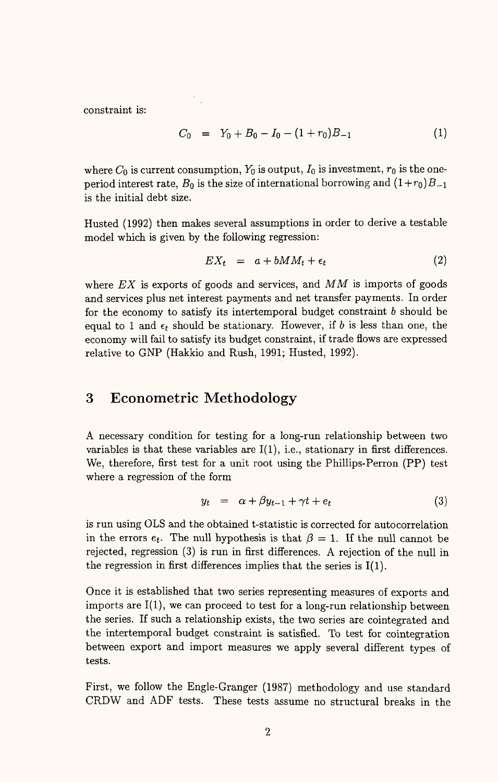constraint is:

$$
C_0 = Y_0 + B_0 - I_0 - (1 + r_0)B_{-1}
$$
 (1)

where  $C_0$  is current consumption,  $Y_0$  is output,  $I_0$  is investment,  $r_0$  is the oneperiod interest rate,  $B_0$  is the size of international borrowing and  $(1+r_0)B_{-1}$ is the initial debt size.

Husted (1992) then makes several assumptions in order to derive a testable model which is given by the following regression:

$$
EX_t = a + bMM_t + \epsilon_t \tag{2}
$$

where *EX* is exports of goods and services, and MM is imports of goods and services plus net interest payments and net transfer payments. In order for the economy to satisfy its intertemporal budget constraint  $b$  should be equal to 1 and  $\epsilon_t$  should be stationary. However, if *b* is less than one, the economy will fail to satisfy its budget constraint, if trade flows are expressed relative to GNP (Hakkio and Rush, 1991; Husted, 1992).

# **3 Econometric Methodology**

A necessary condition for testing for a long-run relationship between two variables is that these variables are  $I(1)$ , i.e., stationary in first differences. We, therefore, first test for a unit root using the Phillips-Perron (PP) test where a regression of the form

$$
y_t = \alpha + \beta y_{t-1} + \gamma t + e_t \tag{3}
$$

is run using OLS and the obtained t-statistic is corrected for autocorrelation in the errors  $e_t$ . The null hypothesis is that  $\beta = 1$ . If the null cannot be rejected, regression (3) is run in first differences. A rejection of the null in the regression in first differences implies that the series is 1(1).

Once it is established that two series representing measures of exports and imports are  $I(1)$ , we can proceed to test for a long-run relationship between the series. If such a relationship exists, the two series are cointegrated and the intertemporal budget constraint is satisfied. To test for cointegration between export and import measures we apply several different types of tests.

First, we follow the Engle-Granger (1987) methodology and use standard CRDW and ADF tests. These tests assume no structural breaks in the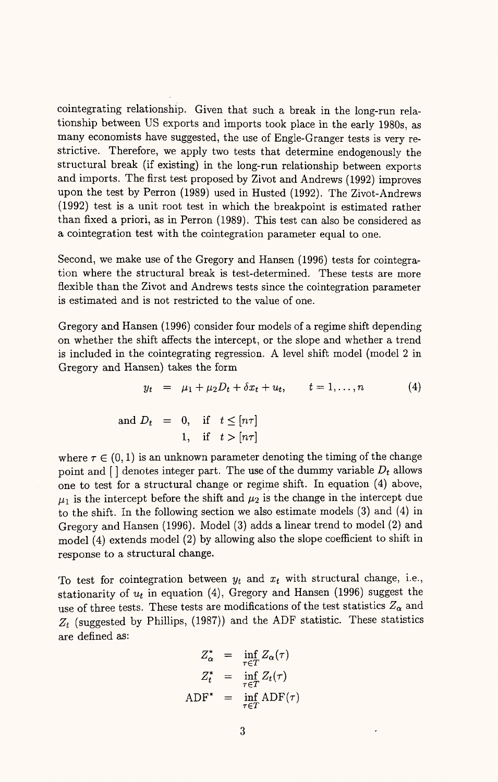cointegrating relationship. Given that such a break in the long-run relationship between US exports and imports took place in the early 1980s, as many economists have suggested, the use of Engle-Granger tests is very restrictive. Therefore, we apply two tests that determine endogenously the structural break (if existing) in the long-run relationship between exports and imports. The first test proposed by Zivot and Andrews (1992) improves upon the test by Perron (1989) used in Husted (1992). The Zivot-Andrews (1992) test is a unit root test in which the breakpoint is estimated rather than fixed a priori, as in Perron (1989). This test can also be considered as a cointegration test with the cointegration parameter equal to one.

Second, we make use of the Gregory and Hansen (1996) tests for cointegration where the structural break is test-determined. These tests are more flexible than the Zivot and Andrews tests since the cointegration parameter is estimated and is not restricted to the value of one.

Gregory and Hansen (1996) consider four models of a regime shift depending on whether the shift affects the intercept, or the slope and whether a trend is included in the cointegrating regression. A level shift model (model 2 in Gregory and Hansen) takes the form

$$
y_t = \mu_1 + \mu_2 D_t + \delta x_t + u_t, \qquad t = 1, ..., n \qquad (4)
$$

and 
$$
D_t = 0
$$
, if  $t \leq [n\tau]$   
1, if  $t > [n\tau]$ 

where  $\tau \in (0, 1)$  is an unknown parameter denoting the timing of the change point and [ ] denotes integer part. The use of the dummy variable *Dt* allows one to test for a structural change or regime shift. In equation (4) above,  $\mu_1$  is the intercept before the shift and  $\mu_2$  is the change in the intercept due to the shift. In the following section we also estimate models (3) and (4) in Gregory and Hansen (1996). Model (3) adds a linear trend to model (2) and model (4) extends model (2) by allowing also the slope coefficient to shift in response to a structural change.

To test for cointegration between  $y_t$  and  $x_t$  with structural change, i.e., stationarity of  $u_t$  in equation (4), Gregory and Hansen (1996) suggest the use of three tests. These tests are modifications of the test statistics  $Z_{\alpha}$  and  $Z_t$  (suggested by Phillips, (1987)) and the ADF statistic. These statistics are defined as:

$$
Z_{\alpha}^{*} = \inf_{\tau \in T} Z_{\alpha}(\tau)
$$
  

$$
Z_{t}^{*} = \inf_{\tau \in T} Z_{t}(\tau)
$$
  
ADF\* = inf\_{\tau \in T} ADF(\tau)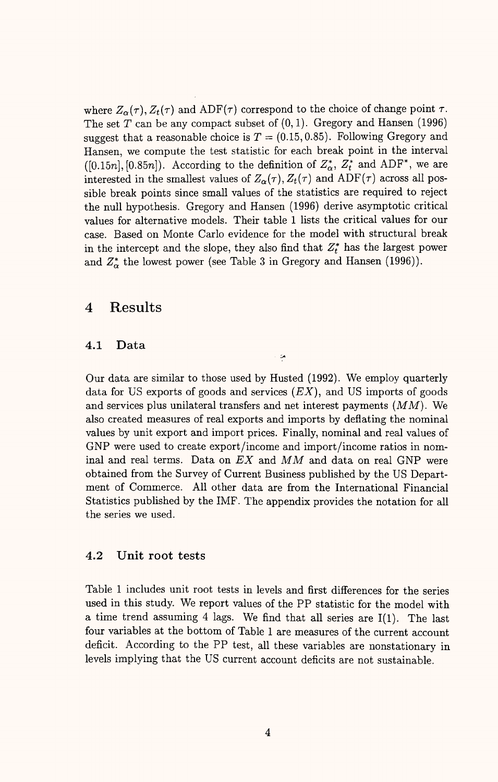where  $Z_{\alpha}(\tau)$ ,  $Z_{t}(\tau)$  and ADF( $\tau$ ) correspond to the choice of change point  $\tau$ . The set  $T$  can be any compact subset of  $(0,1)$ . Gregory and Hansen (1996) suggest that a reasonable choice is  $T = (0.15, 0.85)$ . Following Gregory and Hansen, we compute the test statistic for each break point in the interval ([0.15n], [0.85n]). According to the definition of  $Z^*_{\alpha}$ ,  $Z^*_{t}$  and ADF<sup>\*</sup>, we are interested in the smallest values of  $Z_{\alpha}(\tau), Z_{t}(\tau)$  and ADF( $\tau$ ) across all possible break points since small values of the statistics are required to reject the null hypothesis. Gregory and Hansen (1996) derive asymptotic critical values for alternative models. Their table 1 lists the critical values for our case. Based on Monte Carlo evidence for the model with structural break in the intercept and the slope, they also find that  $Z_t^*$  has the largest power and  $Z^*_{\alpha}$  the lowest power (see Table 3 in Gregory and Hansen (1996)).

## **4 Results**

#### **4.1 Data**

Our data are similar to those used by Husted (1992). We employ quarterly data for US exports of goods and services *(EX),* and US imports of goods and services plus unilateral transfers and net interest payments *(MM).* We also created measures of real exports and imports by deflating the nominal values by unit export and import prices. Finally, nominal and real values of GNP were used to create export/income and import/income ratios in nominal and real terms. Data on *EX* and *MM* and data on real GNP were obtained from the Survey of Current Business published by the US Department of Commerce. All other data are from the International Financial Statistics published by the IMF. The appendix provides the notation for all the series we used.

 $\ddot{ }$ 

#### **4.2 Unit root** tests

Table 1 includes unit root tests in levels and first differences for the series used in this study. We report values of the PP statistic for the model with a time trend assuming 4 lags. We find that all series are 1(1). The last four variables at the bottom of Table 1 are measures of the current account deficit. According to the PP test, all these variables are nonstationary in levels implying that the US current account deficits are not sustainable.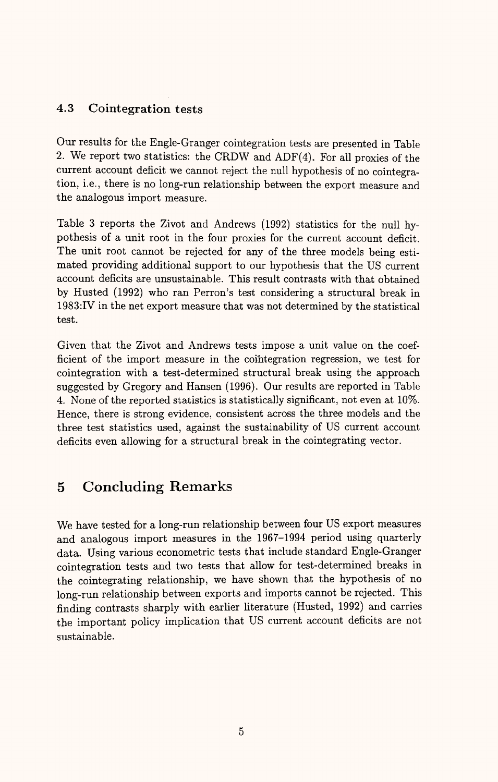# 4.3 Cointegration tests

Our results for the Engle-Granger cointegration tests are presented in Table 2. We report two statistics: the CRDW and ADF(4). For all proxies of the current account deficit we cannot reject the null hypothesis of no cointegration, i.e., there is no long-run relationship between the export measure and the analogous import measure.

Table 3 reports the Zivot and Andrews (1992) statistics for the null hypothesis of a unit root in the four proxies for the current account deficit. The unit root cannot be rejected for any of the three models being estimated providing additional support to our hypothesis that the US current account deficits are unsustainable. This result contrasts with that obtained by Husted (1992) who ran Perron's test considering a structural break in 1983:IV in the net export measure that was not determined by the statistical test.

Given that the Zivot and Andrews tests impose a unit value on the coefficient of the import measure in the cointegration regression, we test for cointegration with a test-determined structural break using the approach suggested by Gregory and Hansen (1996). Our results are reported in Table 4. None of the reported statistics is statistically significant, not even at 10%. Hence, there is strong evidence, consistent across the three models and the three test statistics used, against the sustainability of US current account deficits even allowing for a structural break in the cointegrating vector.

# 5 Concluding Remarks

We have tested for a long-run relationship between four US export measures and analogous import measures in the 1967-1994 period using quarterly data. Using various econometric tests that include standard Engle-Granger cointegration tests and two tests that allow for test-determined breaks in the cointegrating relationship, we have shown that the hypothesis of no long-run relationship between exports and imports cannot be rejected. This finding contrasts sharply with earlier literature (Husted, 1992) and carries the important policy implication that US current account deficits are not sustainable.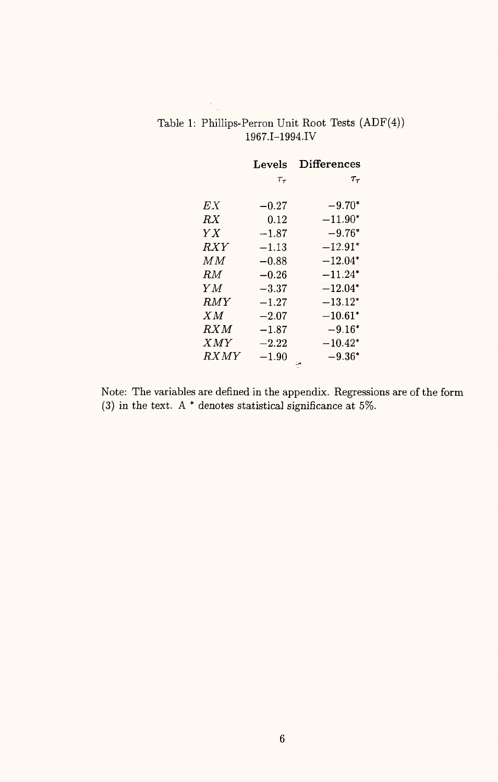|            | Levels      | Differences  |
|------------|-------------|--------------|
|            | $\tau_\tau$ | $\tau_\tau$  |
|            |             |              |
| ЕX         | $-0.27$     | $-9.70*$     |
| RX         | 0.12        | $-11.90*$    |
| YX         | $-1.87$     | $-9.76*$     |
| <i>RXY</i> | $-1.13$     | $-12.91*$    |
| ΜМ         | $-0.88$     | $-12.04^{*}$ |
| RM.        | $-0.26$     | $-11.24*$    |
| ΥM         | $-3.37$     | $-12.04*$    |
| <i>RMY</i> | $-1.27$     | $-13.12*$    |
| X M        | $-2.07$     | $-10.61*$    |
| RXM        | $-1.87$     | $-9.16*$     |
| XMY        | $-2.22$     | $-10.42*$    |
| RXMY       | $-1.90$     | $-9.36*$     |

## Table 1: PhiUips-Perron Unit Root Tests (ADF(4)) 1967.I-1994.IV

Note: The variables are defined in the appendix. Regressions are of the form (3) in the text. A  $*$  denotes statistical significance at 5%.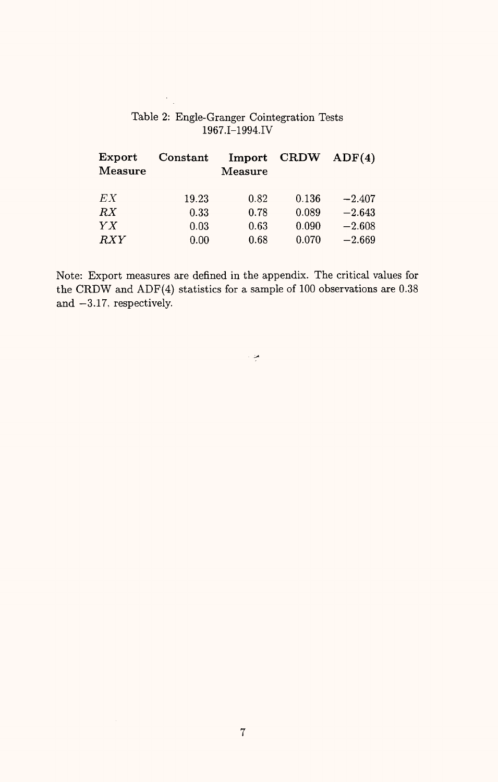| ${\rm Export}$<br>$\bf Measure$ | Constant | Import<br>Measure | $\mathbf{CRDW}$ | ADF(4)   |
|---------------------------------|----------|-------------------|-----------------|----------|
| EX                              | 19.23    | 0.82              | 0.136           | $-2.407$ |
| RX                              | 0.33     | 0.78              | 0.089           | $-2.643$ |
| Y X                             | 0.03     | 0.63              | 0.090           | $-2.608$ |
| $\mathbb{R} XY$                 | 0.00     | 0.68              | 0.070           | $-2.669$ |

Table 2: Engle-Granger Cointegration Tests 1967.I-1994.IV

Note: Export measures are defined in the appendix. The critical values for the CRDW and ADF(4) statistics for a sample of 100 observations are 0.38 and  $-3.17$ , respectively.

من ()<br>الم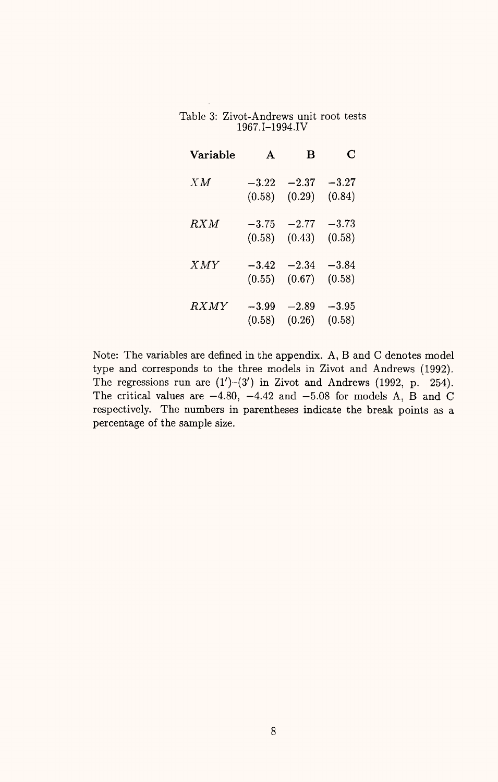Table 3: Zivot-Andrews unit root tests 1967.I-1994.IV

| 1907.1-1994.1V |         |           |         |
|----------------|---------|-----------|---------|
| Variable       | A       | в         | C       |
| X M            | $-3.22$ | $-2.37$   | $-3.27$ |
|                | (0.58)  | (0.29)    | (0.84)  |
| RXM            | $-3.75$ | $-2.77$   | $-3.73$ |
|                | (0.58)  | (0.43)    | (0.58)  |
| XMY            | $-3.42$ | $-2.34\,$ | $-3.84$ |
|                | (0.55)  | (0.67)    | (0.58)  |
| RXMY           | $-3.99$ | $-2.89$   | $-3.95$ |
|                | (0.58)  | (0.26)    | (0.58)  |

Note: The variables are defined in the appendix. A, B and C denotes model type and corresponds to the three models in Zivot and Andrews (1992). The regressions run are  $(1')-(3')$  in Zivot and Andrews (1992, p. 254). The critical values are  $-4.80$ ,  $-4.42$  and  $-5.08$  for models A, B and C respectively. The numbers in parentheses indicate the break points as a percentage of the sample size.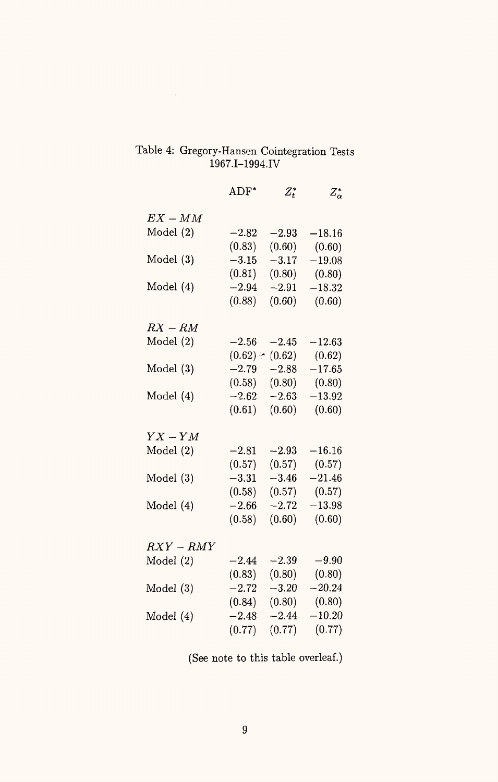# Table 4: Gregory-Hansen Cointegration Tests 1967.I-1994.IV

|             | $\mathrm{ADF}^*$ | $Z_t^*$ | $Z_\alpha^*$ |
|-------------|------------------|---------|--------------|
| $EX-MM$     |                  |         |              |
| Model $(2)$ | $-2.82$          | $-2.93$ | $-18.16$     |
|             | (0.83)           | (0.60)  | (0.60)       |
| Model $(3)$ | $-3.15$          | $-3.17$ | $-19.08$     |
|             | (0.81)           | (0.80)  | (0.80)       |
| Model (4)   | $-2.94$          | $-2.91$ | $-18.32$     |
|             | (0.88)           | (0.60)  | (0.60)       |
| $RX - RM$   |                  |         |              |
| Model(2)    | $-2.56$          | $-2.45$ | $-12.63$     |
|             | $(0.62) -$       | (0.62)  | (0.62)       |
| Model(3)    | $-2.79$          | $-2.88$ | $-17.65$     |
|             | (0.58)           | (0.80)  | (0.80)       |
| Model (4)   | $-2.62$          | $-2.63$ | $-13.92$     |
|             | (0.61)           | (0.60)  | (0.60)       |
| $YX - YM$   |                  |         |              |
| Model(2)    | $-2.81$          | $-2.93$ | $-16.16$     |
|             | (0.57)           | (0.57)  | (0.57)       |
| Model $(3)$ | $-3.31$          | $-3.46$ | $-21.46$     |
|             | (0.58)           | (0.57)  | (0.57)       |
| Model (4)   | $-2.66$          | $-2.72$ | $-13.98$     |
|             | (0.58)           | (0.60)  | (0.60)       |
| $RXY-RMY$   |                  |         |              |
| Model(2)    | $-2.44$          | $-2.39$ | $-9.90$      |
|             | (0.83)           | (0.80)  | (0.80)       |
| Model(3)    | $-2.72$          | $-3.20$ | $-20.24$     |
|             | (0.84)           | (0.80)  | (0.80)       |
| Model (4)   | $-2.48$          | $-2.44$ | $-10.20$     |
|             | (0.77)           | (0.77)  | (0.77)       |

(See note to this table overleaf.)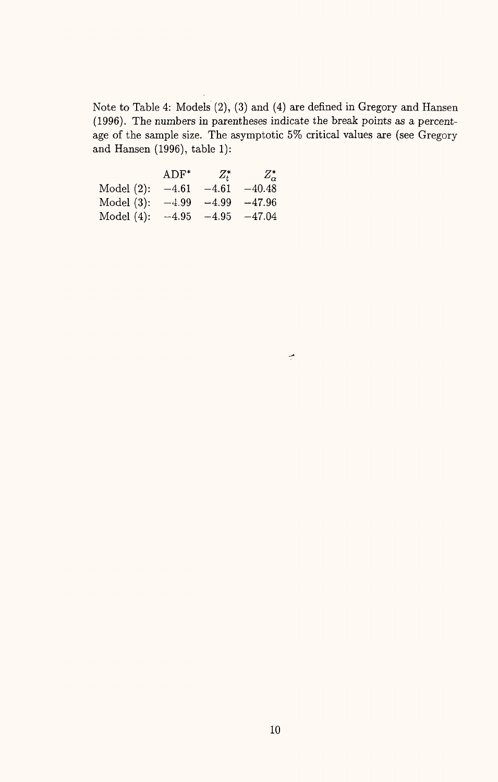Note to Table 4: Models (2), (3) and (4) are defined in Gregory and Hansen (1996). The numbers in parentheses indicate the break points as a percentage of the sample size. The asymptotic 5% critical values are (see Gregory and Hansen (1996), table 1):

|               | $ADF^*$ | $Z_{t}^*$ | $Z_{\alpha}^*$ |
|---------------|---------|-----------|----------------|
| Model $(2)$ : | $-4.61$ | $-4.61$   | $-40.48$       |
| Model $(3)$ : | $-4.99$ | $-4.99$   | $-47.96$       |
| Model $(4)$ : | $-4.95$ | $-4.95$   | $-47.04$       |

من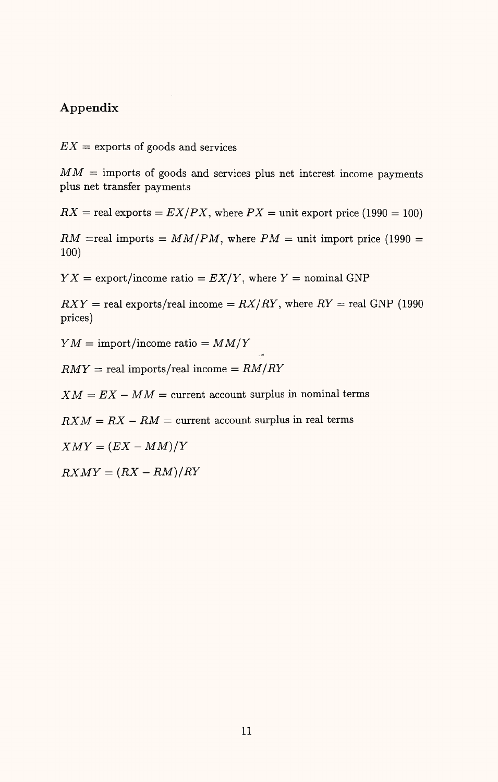## **Appendix**

 $EX =$  exports of goods and services

 $MM =$  imports of goods and services plus net interest income payments plus net transfer payments

 $RX =$  real exports  $= EX/PX$ , where  $PX =$  unit export price (1990 = 100)

 $RM$  =real imports =  $MM/PM$ , where  $PM$  = unit import price (1990 = 100)

 $YX =$  export/income ratio =  $EX/Y$ , where  $Y =$  nominal GNP

 $RXY =$  real exports/real income =  $RX/RY$ , where  $RY =$  real GNP (1990) prices)

*Y M =* import/income ratio = *MM/Y*

 $RMY = real$  imports/real income  $= RM/RY$ 

 $XM = EX - MM =$  current account surplus in nominal terms

 $RXM = RX - RM =$  current account surplus in real terms

 $XMY = (EX - MM)/Y$ 

 $RXMY = (RX - RM)/RY$